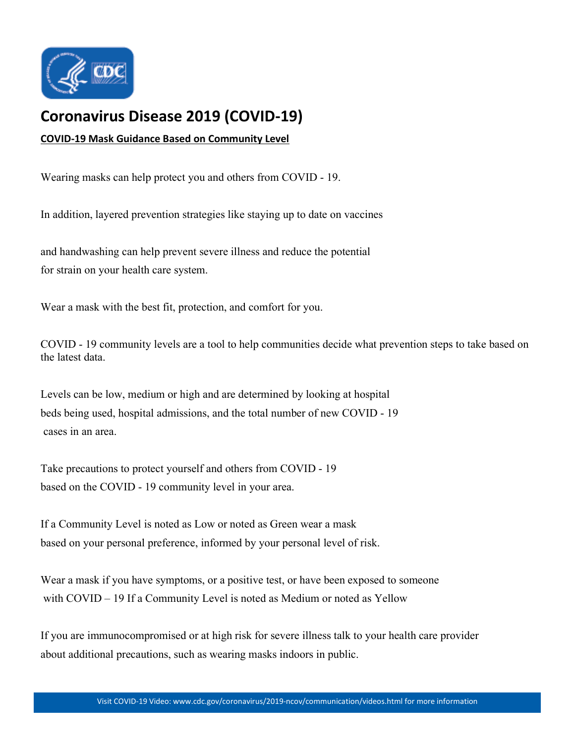

## **[Coronavirus Disease 2019 \(COVID-19\)](https://www.cdc.gov/coronavirus/2019-nCoV/index.html)**

## **COVID-19 Mask Guidance Based on Community Level**

Wearing masks can help protect you and others from COVID - 19.

In addition, layered prevention strategies like staying up to date on vaccines

and handwashing can help prevent severe illness and reduce the potential for strain on your health care system.

Wear a mask with the best fit, protection, and comfort for you.

COVID - 19 community levels are a tool to help communities decide what prevention steps to take based on the latest data.

Levels can be low, medium or high and are determined by looking at hospital beds being used, hospital admissions, and the total number of new COVID - 19 cases in an area.

Take precautions to protect yourself and others from COVID - 19 based on the COVID - 19 community level in your area.

If a Community Level is noted as Low or noted as Green wear a mask based on your personal preference, informed by your personal level of risk.

Wear a mask if you have symptoms, or a positive test, or have been exposed to someone with COVID – 19 If a Community Level is noted as Medium or noted as Yellow

If you are immunocompromised or at high risk for severe illness talk to your health care provider about additional precautions, such as wearing masks indoors in public.